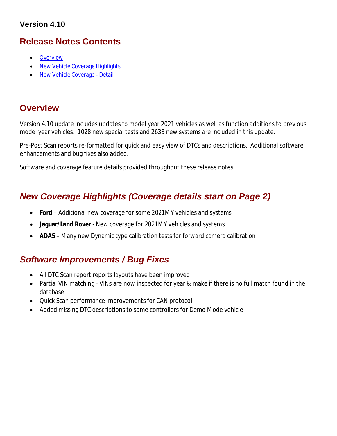### **Version 4.10**

## **Release Notes Contents**

- **Overview**
- New Vehicle Coverage Highlights
- New Vehicle Coverage Detail

## **Overview**

Version 4.10 update includes updates to model year 2021 vehicles as well as function additions to previous model year vehicles. 1028 new special tests and 2633 new systems are included in this update.

Pre-Post Scan reports re-formatted for quick and easy view of DTCs and descriptions. Additional software enhancements and bug fixes also added.

Software and coverage feature details provided throughout these release notes.

# *New Coverage Highlights (Coverage details start on Page 2)*

- **Ford** Additional new coverage for some 2021MY vehicles and systems
- **Jaguar/Land Rover** New coverage for 2021MY vehicles and systems
- **ADAS** Many new Dynamic type calibration tests for forward camera calibration

## *Software Improvements / Bug Fixes*

- All DTC Scan report reports layouts have been improved
- Partial VIN matching VINs are now inspected for year & make if there is no full match found in the database
- Quick Scan performance improvements for CAN protocol
- Added missing DTC descriptions to some controllers for Demo Mode vehicle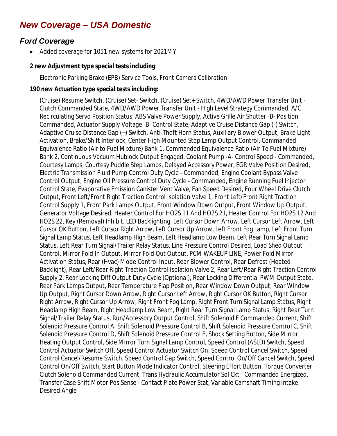# *New Coverage – USA Domestic*

## *Ford Coverage*

• Added coverage for 1051 new systems for 2021MY

#### **2 new Adjustment type special tests including**:

Electronic Parking Brake (EPB) Service Tools, Front Camera Calibration

#### **190 new Actuation type special tests including:**

(Cruise) Resume Switch, (Cruise) Set- Switch, (Cruise) Set+ Switch, 4WD/AWD Power Transfer Unit - Clutch Commanded State, 4WD/AWD Power Transfer Unit - High Level Strategy Commanded, A/C Recirculating Servo Position Status, ABS Valve Power Supply, Active Grille Air Shutter -B- Position Commanded, Actuator Supply Voltage -B- Control State, Adaptive Cruise Distance Gap (-) Switch, Adaptive Cruise Distance Gap (+) Switch, Anti-Theft Horn Status, Auxiliary Blower Output, Brake Light Activation, Brake/Shift Interlock, Center High Mounted Stop Lamp Output Control, Commanded Equivalence Ratio (Air to Fuel Mixture) Bank 1, Commanded Equivalence Ratio (Air To Fuel Mixture) Bank 2, Continuous Vacuum Hublock Output Engaged, Coolant Pump -A- Control Speed - Commanded, Courtesy Lamps, Courtesy Puddle Step Lamps, Delayed Accessory Power, EGR Valve Position Desired, Electric Transmission Fluid Pump Control Duty Cycle - Commanded, Engine Coolant Bypass Valve Control Output, Engine Oil Pressure Control Duty Cycle - Commanded, Engine Running Fuel Injector Control State, Evaporative Emission Canister Vent Valve, Fan Speed Desired, Four Wheel Drive Clutch Output, Front Left/Front Right Traction Control Isolation Valve 1, Front Left/Front Right Traction Control Supply 1, Front Park Lamps Output, Front Window Down Output, Front Window Up Output, Generator Voltage Desired, Heater Control For HO2S 11 And HO2S 21, Heater Control For HO2S 12 And HO2S 22, Key (Removal) Inhibit, LED Backlighting, Left Cursor Down Arrow, Left Cursor Left Arrow, Left Cursor OK Button, Left Cursor Right Arrow, Left Cursor Up Arrow, Left Front Fog Lamp, Left Front Turn Signal Lamp Status, Left Headlamp High Beam, Left Headlamp Low Beam, Left Rear Turn Signal Lamp Status, Left Rear Turn Signal/Trailer Relay Status, Line Pressure Control Desired, Load Shed Output Control, Mirror Fold In Output, Mirror Fold Out Output, PCM WAKEUP LINE, Power Fold Mirror Activation Status, Rear (Hvac) Mode Control Input, Rear Blower Control, Rear Defrost (Heated Backlight), Rear Left/Rear Right Traction Control Isolation Valve 2, Rear Left/Rear Right Traction Control Supply 2, Rear Locking Diff Output Duty Cycle (Optional), Rear Locking Differential PWM Output State, Rear Park Lamps Output, Rear Temperature Flap Position, Rear Window Down Output, Rear Window Up Output, Right Cursor Down Arrow, Right Cursor Left Arrow, Right Cursor OK Button, Right Cursor Right Arrow, Right Cursor Up Arrow, Right Front Fog Lamp, Right Front Turn Signal Lamp Status, Right Headlamp High Beam, Right Headlamp Low Beam, Right Rear Turn Signal Lamp Status, Right Rear Turn Signal/Trailer Relay Status, Run/Accessory Output Control, Shift Solenoid F Commanded Current, Shift Solenoid Pressure Control A, Shift Solenoid Pressure Control B, Shift Solenoid Pressure Control C, Shift Solenoid Pressure Control D, Shift Solenoid Pressure Control E, Shock Setting Button, Side Mirror Heating Output Control, Side Mirror Turn Signal Lamp Control, Speed Control (ASLD) Switch, Speed Control Actuator Switch Off, Speed Control Actuator Switch On, Speed Control Cancel Switch, Speed Control Cancel/Resume Switch, Speed Control Gap Switch, Speed Control On/Off Cancel Switch, Speed Control On/Off Switch, Start Button Mode Indicator Control, Steering Effort Button, Torque Converter Clutch Solenoid Commanded Current, Trans Hydraulic Accumulator Sol Ckt - Commanded Energized, Transfer Case Shift Motor Pos Sense - Contact Plate Power Stat, Variable Camshaft Timing Intake Desired Angle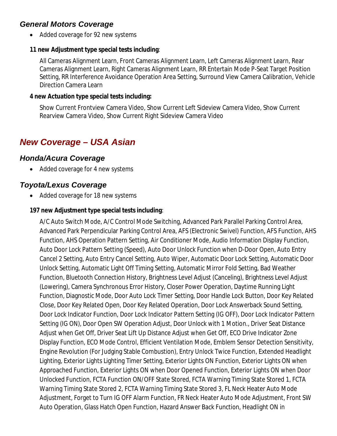## *General Motors Coverage*

• Added coverage for 92 new systems

### **11 new Adjustment type special tests including**:

All Cameras Alignment Learn, Front Cameras Alignment Learn, Left Cameras Alignment Learn, Rear Cameras Alignment Learn, Right Cameras Alignment Learn, RR Entertain Mode P-Seat Target Position Setting, RR Interference Avoidance Operation Area Setting, Surround View Camera Calibration, Vehicle Direction Camera Learn

#### **4 new Actuation type special tests including:**

Show Current Frontview Camera Video, Show Current Left Sideview Camera Video, Show Current Rearview Camera Video, Show Current Right Sideview Camera Video

# *New Coverage – USA Asian*

### *Honda/Acura Coverage*

• Added coverage for 4 new systems

### *Toyota/Lexus Coverage*

• Added coverage for 18 new systems

### **197 new Adjustment type special tests including**:

A/C Auto Switch Mode, A/C Control Mode Switching, Advanced Park Parallel Parking Control Area, Advanced Park Perpendicular Parking Control Area, AFS (Electronic Swivel) Function, AFS Function, AHS Function, AHS Operation Pattern Setting, Air Conditioner Mode, Audio Information Display Function, Auto Door Lock Pattern Setting (Speed), Auto Door Unlock Function when D-Door Open, Auto Entry Cancel 2 Setting, Auto Entry Cancel Setting, Auto Wiper, Automatic Door Lock Setting, Automatic Door Unlock Setting, Automatic Light Off Timing Setting, Automatic Mirror Fold Setting, Bad Weather Function, Bluetooth Connection History, Brightness Level Adjust (Canceling), Brightness Level Adjust (Lowering), Camera Synchronous Error History, Closer Power Operation, Daytime Running Light Function, Diagnostic Mode, Door Auto Lock Timer Setting, Door Handle Lock Button, Door Key Related Close, Door Key Related Open, Door Key Related Operation, Door Lock Answerback Sound Setting, Door Lock Indicator Function, Door Lock Indicator Pattern Setting (IG OFF), Door Lock Indicator Pattern Setting (IG ON), Door Open SW Operation Adjust, Door Unlock with 1 Motion., Driver Seat Distance Adjust when Get Off, Driver Seat Lift Up Distance Adjust when Get Off, ECO Drive Indicator Zone Display Function, ECO Mode Control, Efficient Ventilation Mode, Emblem Sensor Detection Sensitivity, Engine Revolution (For Judging Stable Combustion), Entry Unlock Twice Function, Extended Headlight Lighting, Exterior Lights Lighting Timer Setting, Exterior Lights ON Function, Exterior Lights ON when Approached Function, Exterior Lights ON when Door Opened Function, Exterior Lights ON when Door Unlocked Function, FCTA Function ON/OFF State Stored, FCTA Warning Timing State Stored 1, FCTA Warning Timing State Stored 2, FCTA Warning Timing State Stored 3, FL Neck Heater Auto Mode Adjustment, Forget to Turn IG OFF Alarm Function, FR Neck Heater Auto Mode Adjustment, Front SW Auto Operation, Glass Hatch Open Function, Hazard Answer Back Function, Headlight ON in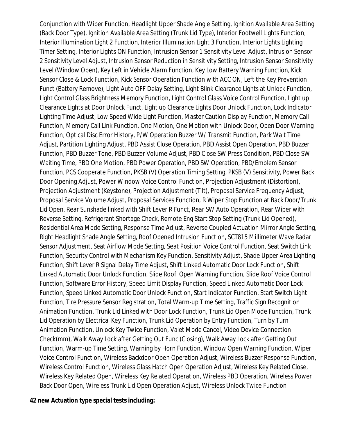Conjunction with Wiper Function, Headlight Upper Shade Angle Setting, Ignition Available Area Setting (Back Door Type), Ignition Available Area Setting (Trunk Lid Type), Interior Footwell Lights Function, Interior Illumination Light 2 Function, Interior Illumination Light 3 Function, Interior Lights Lighting Timer Setting, Interior Lights ON Function, Intrusion Sensor 1 Sensitivity Level Adjust, Intrusion Sensor 2 Sensitivity Level Adjust, Intrusion Sensor Reduction in Sensitivity Setting, Intrusion Sensor Sensitivity Level (Window Open), Key Left in Vehicle Alarm Function, Key Low Battery Warning Function, Kick Sensor Close & Lock Function, Kick Sensor Operation Function with ACC ON, Left the Key Prevention Funct (Battery Remove), Light Auto OFF Delay Setting, Light Blink Clearance Lights at Unlock Function, Light Control Glass Brightness Memory Function, Light Control Glass Voice Control Function, Light up Clearance Lights at Door Unlock Funct, Light up Clearance Lights Door Unlock Function, Lock Indicator Lighting Time Adjust, Low Speed Wide Light Function, Master Caution Display Function, Memory Call Function, Memory Call Link Function, One Motion, One Motion with Unlock Door, Open Door Warning Function, Optical Disc Error History, P/W Operation Buzzer W/ Transmit Function, Park Wait Time Adjust, Partition Lighting Adjust, PBD Assist Close Operation, PBD Assist Open Operation, PBD Buzzer Function, PBD Buzzer Tone, PBD Buzzer Volume Adjust, PBD Close SW Press Condition, PBD Close SW Waiting Time, PBD One Motion, PBD Power Operation, PBD SW Operation, PBD/Emblem Sensor Function, PCS Cooperate Function, PKSB (V) Operation Timing Setting, PKSB (V) Sensitivity, Power Back Door Opening Adjust, Power Window Voice Control Function, Projection Adjustment (Distortion), Projection Adjustment (Keystone), Projection Adjustment (Tilt), Proposal Service Frequency Adjust, Proposal Service Volume Adjust, Proposal Services Function, R Wiper Stop Function at Back Door/Trunk Lid Open, Rear Sunshade linked with Shift Lever R Funct, Rear SW Auto Operation, Rear Wiper with Reverse Setting, Refrigerant Shortage Check, Remote Eng Start Stop Setting (Trunk Lid Opened), Residential Area Mode Setting, Response Time Adjust, Reverse Coupled Actuation Mirror Angle Setting, Right Headlight Shade Angle Setting, Roof Opened Intrusion Function, SCT815 Millimeter Wave Radar Sensor Adjustment, Seat Airflow Mode Setting, Seat Position Voice Control Function, Seat Switch Link Function, Security Control with Mechanism Key Function, Sensitivity Adjust, Shade Upper Area Lighting Function, Shift Lever R Signal Delay Time Adjust, Shift Linked Automatic Door Lock Function, Shift Linked Automatic Door Unlock Function, Slide Roof Open Warning Function, Slide Roof Voice Control Function, Software Error History, Speed Limit Display Function, Speed Linked Automatic Door Lock Function, Speed Linked Automatic Door Unlock Function, Start Indicator Function, Start Switch Light Function, Tire Pressure Sensor Registration, Total Warm-up Time Setting, Traffic Sign Recognition Animation Function, Trunk Lid Linked with Door Lock Function, Trunk Lid Open Mode Function, Trunk Lid Operation by Electrical Key Function, Trunk Lid Operation by Entry Function, Turn by Turn Animation Function, Unlock Key Twice Function, Valet Mode Cancel, Video Device Connection Check(mm), Walk Away Lock after Getting Out Func (Closing), Walk Away Lock after Getting Out Function, Warm-up Time Setting, Warning by Horn Function, Window Open Warning Function, Wiper Voice Control Function, Wireless Backdoor Open Operation Adjust, Wireless Buzzer Response Function, Wireless Control Function, Wireless Glass Hatch Open Operation Adjust, Wireless Key Related Close, Wireless Key Related Open, Wireless Key Related Operation, Wireless PBD Operation, Wireless Power Back Door Open, Wireless Trunk Lid Open Operation Adjust, Wireless Unlock Twice Function

#### **42 new Actuation type special tests including:**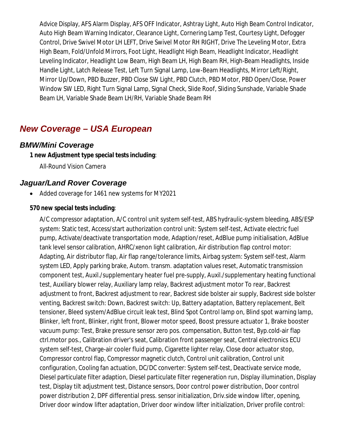Advice Display, AFS Alarm Display, AFS OFF Indicator, Ashtray Light, Auto High Beam Control Indicator, Auto High Beam Warning Indicator, Clearance Light, Cornering Lamp Test, Courtesy Light, Defogger Control, Drive Swivel Motor LH LEFT, Drive Swivel Motor RH RIGHT, Drive The Leveling Motor, Extra High Beam, Fold/Unfold Mirrors, Foot Light, Headlight High Beam, Headlight Indicator, Headlight Leveling Indicator, Headlight Low Beam, High Beam LH, High Beam RH, High-Beam Headlights, Inside Handle Light, Latch Release Test, Left Turn Signal Lamp, Low-Beam Headlights, Mirror Left/Right, Mirror Up/Down, PBD Buzzer, PBD Close SW Light, PBD Clutch, PBD Motor, PBD Open/Close, Power Window SW LED, Right Turn Signal Lamp, Signal Check, Slide Roof, Sliding Sunshade, Variable Shade Beam LH, Variable Shade Beam LH/RH, Variable Shade Beam RH

## *New Coverage – USA European*

### *BMW/Mini Coverage*

### **1 new Adjustment type special tests including**:

All-Round Vision Camera

### *Jaguar/Land Rover Coverage*

• Added coverage for 1461 new systems for MY2021

#### **570 new special tests including**:

A/C compressor adaptation, A/C control unit system self-test, ABS hydraulic-system bleeding, ABS/ESP system: Static test, Access/start authorization control unit: System self-test, Activate electric fuel pump, Activate/deactivate transportation mode, Adaption/reset, AdBlue pump initialisation, AdBlue tank level sensor calibration, AHRC/xenon light calibration, Air distribution flap control motor: Adapting, Air distributor flap, Air flap range/tolerance limits, Airbag system: System self-test, Alarm system LED, Apply parking brake, Autom. transm. adaptation values reset, Automatic transmission component test, Auxil./supplementary heater fuel pre-supply, Auxil./supplementary heating functional test, Auxiliary blower relay, Auxiliary lamp relay, Backrest adjustment motor To rear, Backrest adjustment to front, Backrest adjustment to rear, Backrest side bolster air supply, Backrest side bolster venting, Backrest switch: Down, Backrest switch: Up, Battery adaptation, Battery replacement, Belt tensioner, Bleed system/AdBlue circuit leak test, Blind Spot Control lamp on, Blind spot warning lamp, Blinker, left front, Blinker, right front, Blower motor speed, Boost pressure actuator 1, Brake booster vacuum pump: Test, Brake pressure sensor zero pos. compensation, Button test, Byp.cold-air flap ctrl.motor pos., Calibration driver's seat, Calibration front passenger seat, Central electronics ECU system self-test, Charge-air cooler fluid pump, Cigarette lighter relay, Close door actuator stop, Compressor control flap, Compressor magnetic clutch, Control unit calibration, Control unit configuration, Cooling fan actuation, DC/DC converter: System self-test, Deactivate service mode, Diesel particulate filter adaption, Diesel particulate filter regeneration run, Display illumination, Display test, Display tilt adjustment test, Distance sensors, Door control power distribution, Door control power distribution 2, DPF differential press. sensor initialization, Driv.side window lifter, opening, Driver door window lifter adaptation, Driver door window lifter initialization, Driver profile control: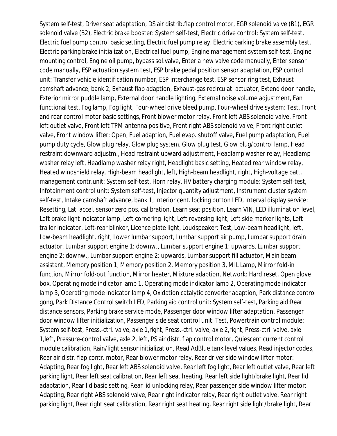System self-test, Driver seat adaptation, DS air distrib.flap control motor, EGR solenoid valve (B1), EGR solenoid valve (B2), Electric brake booster: System self-test, Electric drive control: System self-test, Electric fuel pump control basic setting, Electric fuel pump relay, Electric parking brake assembly test, Electric parking brake initialization, Electrical fuel pump, Engine management system self-test, Engine mounting control, Engine oil pump, bypass sol.valve, Enter a new valve code manually, Enter sensor code manually, ESP actuation system test, ESP brake pedal position sensor adaptation, ESP control unit: Transfer vehicle identification number, ESP interchange test, ESP sensor ring test, Exhaust camshaft advance, bank 2, Exhaust flap adaption, Exhaust-gas recirculat. actuator, Extend door handle, Exterior mirror puddle lamp, External door handle lighting, External noise volume adjustment, Fan functional test, Fog lamp, Fog light, Four-wheel drive bleed pump, Four-wheel drive system: Test, Front and rear control motor basic settings, Front blower motor relay, Front left ABS solenoid valve, Front left outlet valve, Front left TPM antenna positive, Front right ABS solenoid valve, Front right outlet valve, Front window lifter: Open, Fuel adaption, Fuel evap. shutoff valve, Fuel pump adaptation, Fuel pump duty cycle, Glow plug relay, Glow plug system, Glow plug test, Glow plug/control lamp, Head restraint downward adjustm., Head restraint upward adjustment, Headlamp washer relay, Headlamp washer relay left, Headlamp washer relay right, Headlight basic setting, Heated rear window relay, Heated windshield relay, High-beam headlight, left, High-beam headlight, right, High-voltage batt. management contr.unit: System self-test, Horn relay, HV battery charging module: System self-test, Infotainment control unit: System self-test, Injector quantity adjustment, Instrument cluster system self-test, Intake camshaft advance, bank 1, Interior cent. locking button LED, Interval display service: Resetting, Lat. accel. sensor zero pos. calibration, Learn seat position, Learn VIN, LED illumination level, Left brake light indicator lamp, Left cornering light, Left reversing light, Left side marker lights, Left trailer indicator, Left-rear blinker, Licence plate light, Loudspeaker: Test, Low-beam headlight, left, Low-beam headlight, right, Lower lumbar support, Lumbar support air pump, Lumbar support drain actuator, Lumbar support engine 1: downw., Lumbar support engine 1: upwards, Lumbar support engine 2: downw., Lumbar support engine 2: upwards, Lumbar support fill actuator, Main beam assistant, Memory position 1, Memory position 2, Memory position 3, MIL Lamp, Mirror fold-in function, Mirror fold-out function, Mirror heater, Mixture adaption, Network: Hard reset, Open glove box, Operating mode indicator lamp 1, Operating mode indicator lamp 2, Operating mode indicator lamp 3, Operating mode indicator lamp 4, Oxidation catalytic converter adaption, Park distance control gong, Park Distance Control switch LED, Parking aid control unit: System self-test, Parking aid:Rear distance sensors, Parking brake service mode, Passenger door window lifter adaptation, Passenger door window lifter initialization, Passenger side seat control unit: Test, Powertrain control module: System self-test, Press.-ctrl. valve, axle 1,right, Press.-ctrl. valve, axle 2,right, Press-ctrl. valve, axle 1,left, Pressure-control valve, axle 2, left, PS air distr. flap control motor, Quiescent current control module calibration, Rain/light sensor initialization, Read AdBlue tank level values, Read injector codes, Rear air distr. flap contr. motor, Rear blower motor relay, Rear driver side window lifter motor: Adapting, Rear fog light, Rear left ABS solenoid valve, Rear left fog light, Rear left outlet valve, Rear left parking light, Rear left seat calibration, Rear left seat heating, Rear left side light/brake light, Rear lid adaptation, Rear lid basic setting, Rear lid unlocking relay, Rear passenger side window lifter motor: Adapting, Rear right ABS solenoid valve, Rear right indicator relay, Rear right outlet valve, Rear right parking light, Rear right seat calibration, Rear right seat heating, Rear right side light/brake light, Rear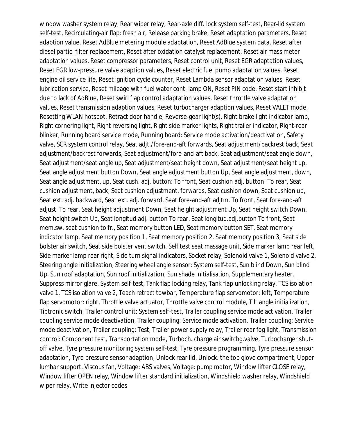window washer system relay, Rear wiper relay, Rear-axle diff. lock system self-test, Rear-lid system self-test, Recirculating-air flap: fresh air, Release parking brake, Reset adaptation parameters, Reset adaption value, Reset AdBlue metering module adaptation, Reset AdBlue system data, Reset after diesel partic. filter replacement, Reset after oxidation catalyst replacement, Reset air mass meter adaptation values, Reset compressor parameters, Reset control unit, Reset EGR adaptation values, Reset EGR low-pressure valve adaption values, Reset electric fuel pump adaptation values, Reset engine oil service life, Reset ignition cycle counter, Reset Lambda sensor adaptation values, Reset lubrication service, Reset mileage with fuel water cont. lamp ON, Reset PIN code, Reset start inhibit due to lack of AdBlue, Reset swirl flap control adaptation values, Reset throttle valve adaptation values, Reset transmission adaption values, Reset turbocharger adaption values, Reset VALET mode, Resetting WLAN hotspot, Retract door handle, Reverse-gear light(s), Right brake light indicator lamp, Right cornering light, Right reversing light, Right side marker lights, Right trailer indicator, Right-rear blinker, Running board service mode, Running board: Service mode activation/deactivation, Safety valve, SCR system control relay, Seat adjt./fore-and-aft forwards, Seat adjustment/backrest back, Seat adjustment/backrest forwards, Seat adjustment/fore-and-aft back, Seat adjustment/seat angle down, Seat adjustment/seat angle up, Seat adjustment/seat height down, Seat adjustment/seat height up, Seat angle adjustment button Down, Seat angle adjustment button Up, Seat angle adjustment, down, Seat angle adjustment, up, Seat cush. adj. button: To front, Seat cushion adj. button: To rear, Seat cushion adjustment, back, Seat cushion adjustment, forwards, Seat cushion down, Seat cushion up, Seat ext. adj. backward, Seat ext. adj. forward, Seat fore-and-aft adjtm. To front, Seat fore-and-aft adjust. To rear, Seat height adjustment Down, Seat height adjustment Up, Seat height switch Down, Seat height switch Up, Seat longitud.adj. button To rear, Seat longitud.adj.button To front, Seat mem.sw. seat cushion to fr., Seat memory button LED, Seat memory button SET, Seat memory indicator lamp, Seat memory position 1, Seat memory position 2, Seat memory position 3, Seat side bolster air switch, Seat side bolster vent switch, Self test seat massage unit, Side marker lamp rear left, Side marker lamp rear right, Side turn signal indicators, Socket relay, Solenoid valve 1, Solenoid valve 2, Steering angle initialization, Steering wheel angle sensor: System self-test, Sun blind Down, Sun blind Up, Sun roof adaptation, Sun roof initialization, Sun shade initialisation, Supplementary heater, Suppress mirror glare, System self-test, Tank flap locking relay, Tank flap unlocking relay, TCS isolation valve 1, TCS isolation valve 2, Teach retract towbar, Temperature flap servomotor: left, Temperature flap servomotor: right, Throttle valve actuator, Throttle valve control module, Tilt angle initialization, Tiptronic switch, Trailer control unit: System self-test, Trailer coupling service mode activation, Trailer coupling service mode deactivation, Trailer coupling: Service mode activation, Trailer coupling: Service mode deactivation, Trailer coupling: Test, Trailer power supply relay, Trailer rear fog light, Transmission control: Component test, Transportation mode, Turboch. charge air switchg.valve, Turbocharger shutoff valve, Tyre pressure monitoring system self-test, Tyre pressure programming, Tyre pressure sensor adaptation, Tyre pressure sensor adaption, Unlock rear lid, Unlock. the top glove compartment, Upper lumbar support, Viscous fan, Voltage: ABS valves, Voltage: pump motor, Window lifter CLOSE relay, Window lifter OPEN relay, Window lifter standard initialization, Windshield washer relay, Windshield wiper relay, Write injector codes